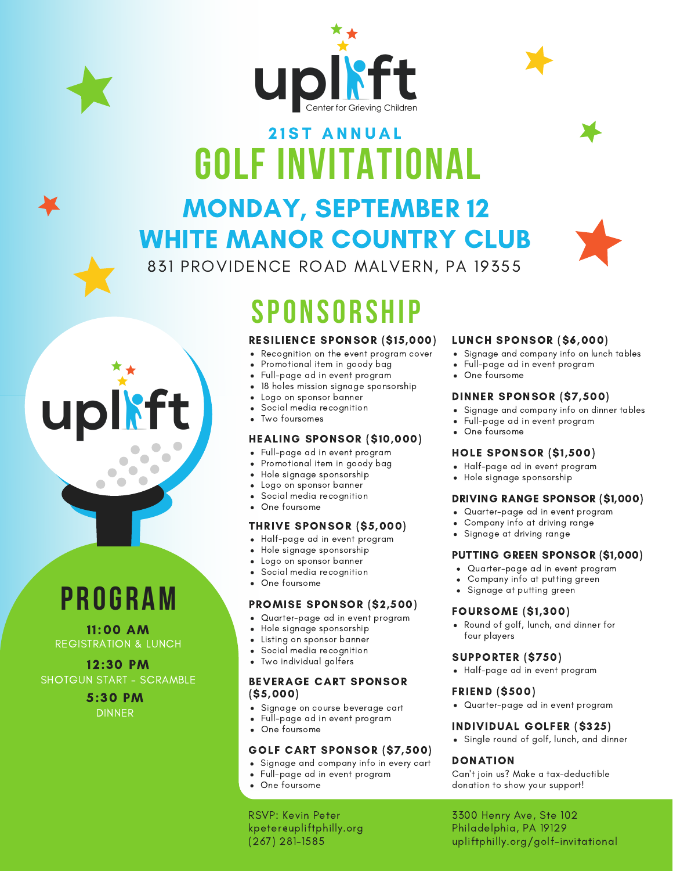



### **GOLF INVITATIONAL 21ST ANNUAL**

### MONDAY, SEPTEMBER 12 WHITE MANOR COUNTRY CLUB



831 PROVIDENCE ROAD MALVERN, PA 19355

# **SPONSORSHIP**

#### RESILIENCE SPONSOR (\$15,000)

- Recognition on the event program cover  $\bullet$
- Promotional item in goody bag  $\bullet$
- $\bullet$ Full-page ad in event program
- 18 holes mission signage sponsorship
- Logo on sponsor banner
- Social media recognition
- Two foursomes

#### HEALING SPONSOR (\$10,000)

- Full-page ad in event program  $\bullet$
- Promotional item in goody bag  $\bullet$
- Hole signage sponsorship  $\bullet$
- Logo on sponsor banner  $\bullet$
- Social media recognition
- One foursome

#### THRIVE SPONSOR (\$5,000)

- Half-page ad in event program
- Hole signage sponsorship  $\bullet$
- Logo on sponsor banner  $\bullet$
- Social media recognition
- One foursome

#### PROMISE SPONSOR (\$2,500)

- Quarter-page ad in event program
- Hole signage sponsorship
- Listing on sponsor banner  $\bullet$
- Social media recognition
- Two individual golfers

#### BEVERAGE CART SPONSOR (\$5,000)

- Signage on course beverage cart
- Full-page ad in event program  $\bullet$
- One foursome

#### GOLF CART SPONSOR (\$7,500)

- Signage and company info in every cart
- Full-page ad in event program
- One foursome

RSVP: Kevin Peter kpeter@upliftphilly.org (267) 281-1585

#### LUNCH SPONSOR (\$6,000)

- Signage and company info on lunch tables
- Full-page ad in event program
- One foursome

#### DINNER SPONSOR (\$7,500)

- Signage and company info on dinner tables
- Full-page ad in event program
- One foursome

#### HOLE SPONSOR (\$1,500)

- Half-page ad in event program
- Hole signage sponsorship

#### DRIVING RANGE SPONSOR (\$1,000)

- Quarter-page ad in event program
- Company info at driving range
- Signage at driving range

#### PUTTING GREEN SPONSOR (\$1,000)

- Quarter-page ad in event program
- Company info at putting green
- Signage at putting green

#### FOURSOME (\$1,300)

Round of golf, lunch, and dinner for four players

#### SUPPORTER (\$750)

Half-page ad in event program

#### FRIEND (\$500)

Quarter-page ad in event program

#### INDIVIDUAL GOLFER (\$325)

Single round of golf, lunch, and dinner

#### DONATION

Can't join us? Make a tax-deductible donation to show your support!

3300 Henry Ave, Ste 102 Philadelphia, PA 19129 upliftphilly.org/golf-invitational

### **PROGRAM**

 $\bullet$  $\bullet$ 

UI

REGISTRATION & LUNCH 11:00 AM

12:30 PM SHOTGUN START - SCRAMBLE

> 5:30 PM DINNER